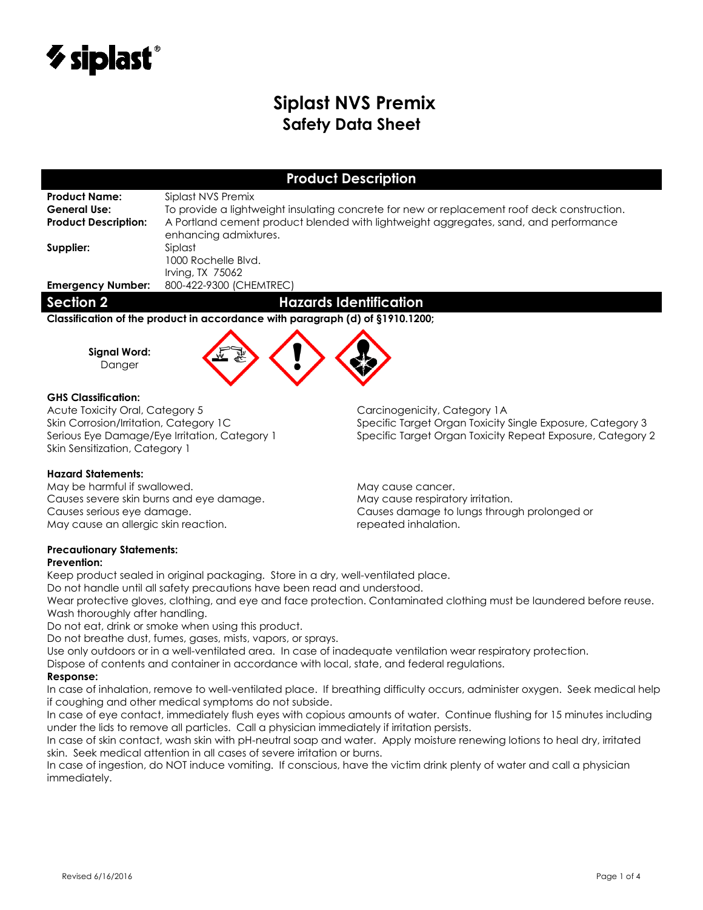

# **Siplast NVS Premix Safety Data Sheet**

## **Product Description**

**Product Name:** Siplast NVS Premix

General Use: To provide a lightweight insulating concrete for new or replacement roof deck construction. **Product Description:** A Portland cement product blended with lightweight aggregates, sand, and performance enhancing admixtures. **Supplier:** Siplast

1000 Rochelle Blvd. Irving, TX 75062 **Emergency Number:** 800-422-9300 (CHEMTREC)

## **Section 2 Hazards Identification**

**Classification of the product in accordance with paragraph (d) of §1910.1200;**



## **GHS Classification:**

**Signal Word:** Danger

Acute Toxicity Oral, Category 5 Carcinogenicity, Category 1A Skin Sensitization, Category 1

## **Hazard Statements:**

May be harmful if swallowed. The matter of the May cause cancer. Causes severe skin burns and eye damage. May cause respiratory irritation. May cause an allergic skin reaction. The case of the repeated inhalation.

Skin Corrosion/Irritation, Category 1C Specific Target Organ Toxicity Single Exposure, Category 3 Serious Eye Damage/Eye Irritation, Category 1 Specific Target Organ Toxicity Repeat Exposure, Category 2

Causes serious eye damage. Causes damage to lungs through prolonged or

## **Precautionary Statements:**

## **Prevention:**

Keep product sealed in original packaging. Store in a dry, well-ventilated place.

Do not handle until all safety precautions have been read and understood.

Wear protective gloves, clothing, and eye and face protection. Contaminated clothing must be laundered before reuse. Wash thoroughly after handling.

Do not eat, drink or smoke when using this product.

Do not breathe dust, fumes, gases, mists, vapors, or sprays.

Use only outdoors or in a well-ventilated area. In case of inadequate ventilation wear respiratory protection.

Dispose of contents and container in accordance with local, state, and federal regulations.

### **Response:**

In case of inhalation, remove to well-ventilated place. If breathing difficulty occurs, administer oxygen. Seek medical help if coughing and other medical symptoms do not subside.

In case of eye contact, immediately flush eyes with copious amounts of water. Continue flushing for 15 minutes including under the lids to remove all particles. Call a physician immediately if irritation persists.

In case of skin contact, wash skin with pH-neutral soap and water. Apply moisture renewing lotions to heal dry, irritated skin. Seek medical attention in all cases of severe irritation or burns.

In case of ingestion, do NOT induce vomiting. If conscious, have the victim drink plenty of water and call a physician immediately.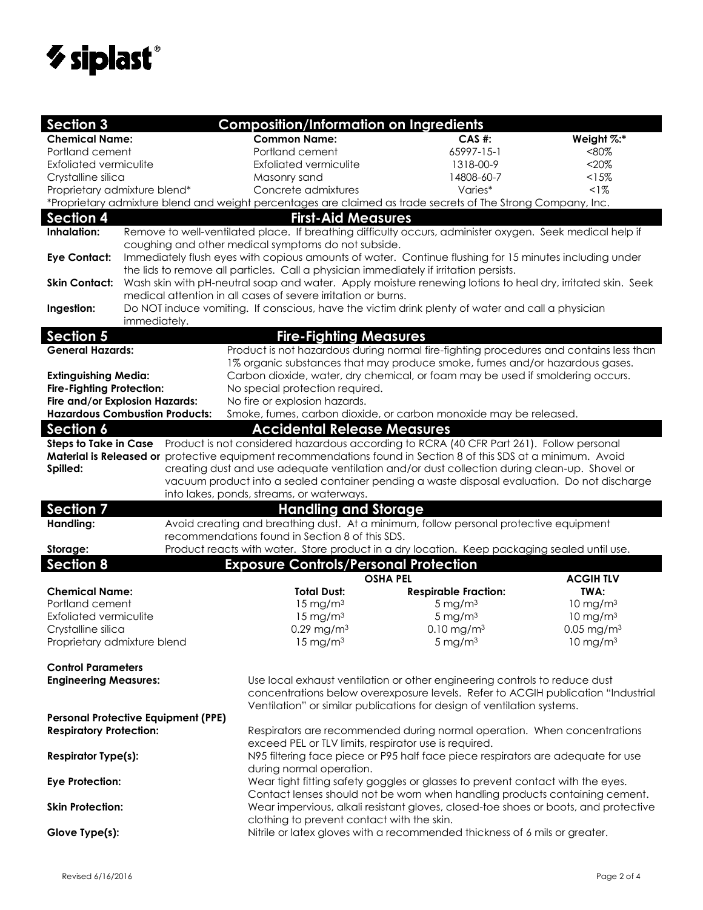

| <b>Section 3</b>                                                                        |                                            | <b>Composition/Information on Ingredients</b>                                                                            |                                                                                                                                                                |                          |  |  |  |
|-----------------------------------------------------------------------------------------|--------------------------------------------|--------------------------------------------------------------------------------------------------------------------------|----------------------------------------------------------------------------------------------------------------------------------------------------------------|--------------------------|--|--|--|
| <b>Chemical Name:</b>                                                                   |                                            | <b>Common Name:</b>                                                                                                      | $CAS$ #:                                                                                                                                                       | Weight %:*               |  |  |  |
| Portland cement                                                                         |                                            | Portland cement                                                                                                          | 65997-15-1                                                                                                                                                     | $< 80\%$                 |  |  |  |
| <b>Exfoliated vermiculite</b>                                                           |                                            | Exfoliated vermiculite                                                                                                   | 1318-00-9                                                                                                                                                      | $<$ 20%                  |  |  |  |
| Crystalline silica                                                                      |                                            | Masonry sand                                                                                                             | 14808-60-7                                                                                                                                                     | < 15%                    |  |  |  |
| Proprietary admixture blend*                                                            |                                            | Concrete admixtures                                                                                                      | Varies*                                                                                                                                                        | $1\%$                    |  |  |  |
|                                                                                         |                                            | *Proprietary admixture blend and weight percentages are claimed as trade secrets of The Strong Company, Inc.             |                                                                                                                                                                |                          |  |  |  |
| <b>Section 4</b>                                                                        |                                            | <b>First-Aid Measures</b>                                                                                                |                                                                                                                                                                |                          |  |  |  |
| Inhalation:                                                                             |                                            | Remove to well-ventilated place. If breathing difficulty occurs, administer oxygen. Seek medical help if                 |                                                                                                                                                                |                          |  |  |  |
|                                                                                         |                                            | coughing and other medical symptoms do not subside.                                                                      |                                                                                                                                                                |                          |  |  |  |
| <b>Eye Contact:</b>                                                                     |                                            | Immediately flush eyes with copious amounts of water. Continue flushing for 15 minutes including under                   |                                                                                                                                                                |                          |  |  |  |
|                                                                                         |                                            | the lids to remove all particles. Call a physician immediately if irritation persists.                                   |                                                                                                                                                                |                          |  |  |  |
| <b>Skin Contact:</b>                                                                    |                                            | Wash skin with pH-neutral soap and water. Apply moisture renewing lotions to heal dry, irritated skin. Seek              |                                                                                                                                                                |                          |  |  |  |
|                                                                                         |                                            | medical attention in all cases of severe irritation or burns.                                                            |                                                                                                                                                                |                          |  |  |  |
| Ingestion:                                                                              |                                            |                                                                                                                          | Do NOT induce vomiting. If conscious, have the victim drink plenty of water and call a physician                                                               |                          |  |  |  |
|                                                                                         | immediately.                               |                                                                                                                          |                                                                                                                                                                |                          |  |  |  |
| <b>Section 5</b>                                                                        |                                            | <b>Fire-Fighting Measures</b>                                                                                            |                                                                                                                                                                |                          |  |  |  |
| <b>General Hazards:</b>                                                                 |                                            | Product is not hazardous during normal fire-fighting procedures and contains less than                                   |                                                                                                                                                                |                          |  |  |  |
|                                                                                         |                                            | 1% organic substances that may produce smoke, fumes and/or hazardous gases.                                              |                                                                                                                                                                |                          |  |  |  |
| <b>Extinguishing Media:</b><br><b>Fire-Fighting Protection:</b>                         |                                            | Carbon dioxide, water, dry chemical, or foam may be used if smoldering occurs.                                           |                                                                                                                                                                |                          |  |  |  |
|                                                                                         | Fire and/or Explosion Hazards:             | No fire or explosion hazards.                                                                                            | No special protection required.                                                                                                                                |                          |  |  |  |
|                                                                                         | <b>Hazardous Combustion Products:</b>      |                                                                                                                          | Smoke, fumes, carbon dioxide, or carbon monoxide may be released.                                                                                              |                          |  |  |  |
| <b>Section 6</b>                                                                        |                                            | <b>Accidental Release Measures</b>                                                                                       |                                                                                                                                                                |                          |  |  |  |
|                                                                                         |                                            | Steps to Take in Case Product is not considered hazardous according to RCRA (40 CFR Part 261). Follow personal           |                                                                                                                                                                |                          |  |  |  |
|                                                                                         |                                            | Material is Released or protective equipment recommendations found in Section 8 of this SDS at a minimum. Avoid          |                                                                                                                                                                |                          |  |  |  |
| Spilled:                                                                                |                                            | creating dust and use adequate ventilation and/or dust collection during clean-up. Shovel or                             |                                                                                                                                                                |                          |  |  |  |
|                                                                                         |                                            | vacuum product into a sealed container pending a waste disposal evaluation. Do not discharge                             |                                                                                                                                                                |                          |  |  |  |
|                                                                                         |                                            | into lakes, ponds, streams, or waterways.                                                                                |                                                                                                                                                                |                          |  |  |  |
| <b>Section 7</b>                                                                        |                                            | <b>Handling and Storage</b>                                                                                              |                                                                                                                                                                |                          |  |  |  |
| Handling:                                                                               |                                            | Avoid creating and breathing dust. At a minimum, follow personal protective equipment                                    |                                                                                                                                                                |                          |  |  |  |
|                                                                                         |                                            | recommendations found in Section 8 of this SDS.                                                                          |                                                                                                                                                                |                          |  |  |  |
| Storage:                                                                                |                                            | Product reacts with water. Store product in a dry location. Keep packaging sealed until use.                             |                                                                                                                                                                |                          |  |  |  |
| <b>Section 8</b>                                                                        |                                            | <b>Exposure Controls/Personal Protection</b>                                                                             |                                                                                                                                                                |                          |  |  |  |
|                                                                                         |                                            | <b>OSHA PEL</b>                                                                                                          |                                                                                                                                                                | <b>ACGIHTLV</b>          |  |  |  |
| <b>Chemical Name:</b>                                                                   |                                            | <b>Total Dust:</b>                                                                                                       | <b>Respirable Fraction:</b>                                                                                                                                    | TWA:                     |  |  |  |
| Portland cement                                                                         |                                            | $15 \text{ mg/m}^3$                                                                                                      | 5 mg/ $m3$                                                                                                                                                     | $10 \text{ mg/m}^3$      |  |  |  |
| Exfoliated vermiculite                                                                  |                                            | $15 \text{ mg/m}^3$                                                                                                      | 5 mg/ $m3$                                                                                                                                                     | $10 \text{ mg/m}^3$      |  |  |  |
| Crystalline silica                                                                      |                                            | $0.29$ mg/m $3$                                                                                                          | $0.10$ mg/m <sup>3</sup>                                                                                                                                       | $0.05$ mg/m <sup>3</sup> |  |  |  |
| Proprietary admixture blend<br>$15 \text{ mg/m}^3$<br>5 mg/ $m3$<br>$10 \text{ mg/m}^3$ |                                            |                                                                                                                          |                                                                                                                                                                |                          |  |  |  |
| <b>Control Parameters</b>                                                               |                                            |                                                                                                                          |                                                                                                                                                                |                          |  |  |  |
|                                                                                         |                                            |                                                                                                                          |                                                                                                                                                                |                          |  |  |  |
| <b>Engineering Measures:</b>                                                            |                                            |                                                                                                                          | Use local exhaust ventilation or other engineering controls to reduce dust<br>concentrations below overexposure levels. Refer to ACGIH publication "Industrial |                          |  |  |  |
|                                                                                         |                                            |                                                                                                                          | Ventilation" or similar publications for design of ventilation systems.                                                                                        |                          |  |  |  |
|                                                                                         | <b>Personal Protective Equipment (PPE)</b> |                                                                                                                          |                                                                                                                                                                |                          |  |  |  |
| <b>Respiratory Protection:</b>                                                          |                                            | Respirators are recommended during normal operation. When concentrations                                                 |                                                                                                                                                                |                          |  |  |  |
|                                                                                         |                                            | exceed PEL or TLV limits, respirator use is required.                                                                    |                                                                                                                                                                |                          |  |  |  |
| <b>Respirator Type(s):</b>                                                              |                                            | N95 filtering face piece or P95 half face piece respirators are adequate for use                                         |                                                                                                                                                                |                          |  |  |  |
|                                                                                         |                                            | during normal operation.                                                                                                 |                                                                                                                                                                |                          |  |  |  |
| <b>Eye Protection:</b>                                                                  |                                            | Wear tight fitting safety goggles or glasses to prevent contact with the eyes.                                           |                                                                                                                                                                |                          |  |  |  |
|                                                                                         |                                            |                                                                                                                          | Contact lenses should not be worn when handling products containing cement.                                                                                    |                          |  |  |  |
| <b>Skin Protection:</b>                                                                 |                                            | Wear impervious, alkali resistant gloves, closed-toe shoes or boots, and protective                                      |                                                                                                                                                                |                          |  |  |  |
|                                                                                         |                                            | clothing to prevent contact with the skin.<br>Nitrile or latex gloves with a recommended thickness of 6 mils or greater. |                                                                                                                                                                |                          |  |  |  |
|                                                                                         |                                            |                                                                                                                          |                                                                                                                                                                |                          |  |  |  |
| Glove Type(s):                                                                          |                                            |                                                                                                                          |                                                                                                                                                                |                          |  |  |  |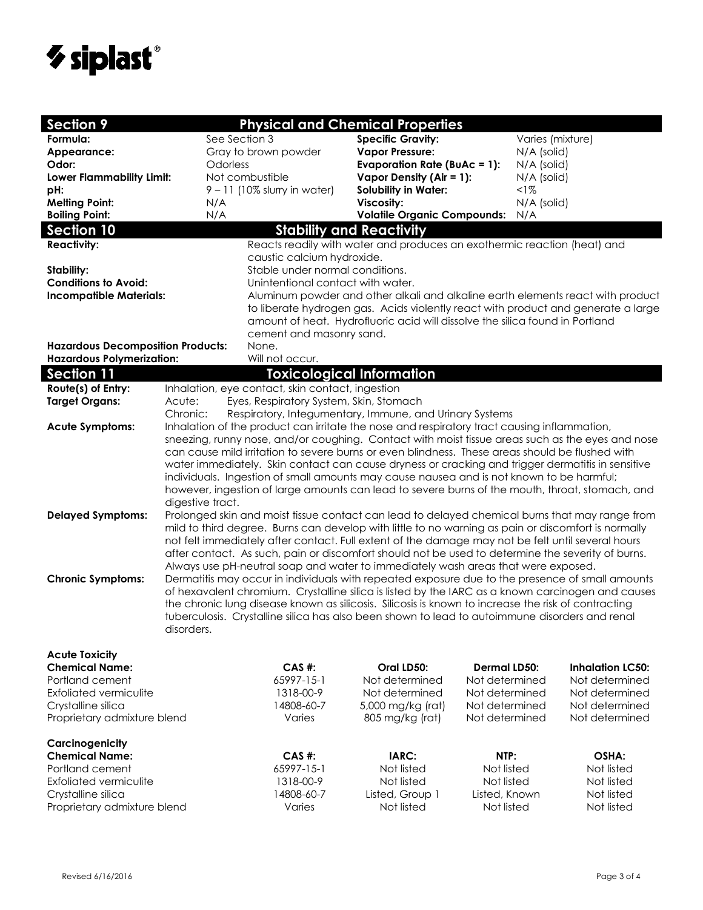

| <b>Section 9</b>                                                                                                  |                                                                                                                                                                                               |                                                  | <b>Physical and Chemical Properties</b>                                                             |                             |                  |                          |
|-------------------------------------------------------------------------------------------------------------------|-----------------------------------------------------------------------------------------------------------------------------------------------------------------------------------------------|--------------------------------------------------|-----------------------------------------------------------------------------------------------------|-----------------------------|------------------|--------------------------|
| Formula:                                                                                                          | See Section 3                                                                                                                                                                                 |                                                  | <b>Specific Gravity:</b>                                                                            |                             | Varies (mixture) |                          |
| Appearance:                                                                                                       |                                                                                                                                                                                               | Gray to brown powder                             | <b>Vapor Pressure:</b>                                                                              |                             | N/A (solid)      |                          |
| Odor:                                                                                                             | Odorless                                                                                                                                                                                      |                                                  | <b>Evaporation Rate (BuAc = 1):</b>                                                                 |                             | N/A (solid)      |                          |
| <b>Lower Flammability Limit:</b>                                                                                  |                                                                                                                                                                                               | Not combustible                                  | Vapor Density (Air = 1):                                                                            |                             | N/A (solid)      |                          |
| pH:                                                                                                               |                                                                                                                                                                                               | $9 - 11$ (10% slurry in water)                   | <b>Solubility in Water:</b>                                                                         |                             | $<$ l $%$        |                          |
| <b>Melting Point:</b>                                                                                             | N/A                                                                                                                                                                                           |                                                  | Viscosity:                                                                                          |                             | N/A (solid)      |                          |
| <b>Boiling Point:</b>                                                                                             | N/A                                                                                                                                                                                           |                                                  | <b>Volatile Organic Compounds:</b>                                                                  | N/A                         |                  |                          |
| <b>Section 10</b>                                                                                                 |                                                                                                                                                                                               | <b>Stability and Reactivity</b>                  |                                                                                                     |                             |                  |                          |
| Reacts readily with water and produces an exothermic reaction (heat) and                                          |                                                                                                                                                                                               |                                                  |                                                                                                     |                             |                  |                          |
| <b>Reactivity:</b>                                                                                                |                                                                                                                                                                                               | caustic calcium hydroxide.                       |                                                                                                     |                             |                  |                          |
| Stability:                                                                                                        |                                                                                                                                                                                               | Stable under normal conditions.                  |                                                                                                     |                             |                  |                          |
| <b>Conditions to Avoid:</b>                                                                                       |                                                                                                                                                                                               | Unintentional contact with water.                |                                                                                                     |                             |                  |                          |
| <b>Incompatible Materials:</b><br>Aluminum powder and other alkali and alkaline earth elements react with product |                                                                                                                                                                                               |                                                  |                                                                                                     |                             |                  |                          |
| to liberate hydrogen gas. Acids violently react with product and generate a large                                 |                                                                                                                                                                                               |                                                  |                                                                                                     |                             |                  |                          |
|                                                                                                                   |                                                                                                                                                                                               |                                                  | amount of heat. Hydrofluoric acid will dissolve the silica found in Portland                        |                             |                  |                          |
|                                                                                                                   |                                                                                                                                                                                               | cement and masonry sand.                         |                                                                                                     |                             |                  |                          |
| <b>Hazardous Decomposition Products:</b>                                                                          |                                                                                                                                                                                               | None.                                            |                                                                                                     |                             |                  |                          |
| <b>Hazardous Polymerization:</b>                                                                                  |                                                                                                                                                                                               | Will not occur.                                  |                                                                                                     |                             |                  |                          |
| <b>Section 11</b>                                                                                                 |                                                                                                                                                                                               |                                                  | <b>Toxicological Information</b>                                                                    |                             |                  |                          |
| Route(s) of Entry:                                                                                                |                                                                                                                                                                                               | Inhalation, eye contact, skin contact, ingestion |                                                                                                     |                             |                  |                          |
| <b>Target Organs:</b>                                                                                             | Acute:                                                                                                                                                                                        | Eyes, Respiratory System, Skin, Stomach          |                                                                                                     |                             |                  |                          |
|                                                                                                                   | Chronic:                                                                                                                                                                                      |                                                  | Respiratory, Integumentary, Immune, and Urinary Systems                                             |                             |                  |                          |
| <b>Acute Symptoms:</b>                                                                                            |                                                                                                                                                                                               |                                                  | Inhalation of the product can irritate the nose and respiratory tract causing inflammation,         |                             |                  |                          |
|                                                                                                                   |                                                                                                                                                                                               |                                                  | sneezing, runny nose, and/or coughing. Contact with moist tissue areas such as the eyes and nose    |                             |                  |                          |
|                                                                                                                   |                                                                                                                                                                                               |                                                  | can cause mild irritation to severe burns or even blindness. These areas should be flushed with     |                             |                  |                          |
|                                                                                                                   |                                                                                                                                                                                               |                                                  |                                                                                                     |                             |                  |                          |
|                                                                                                                   | water immediately. Skin contact can cause dryness or cracking and trigger dermatitis in sensitive<br>individuals. Ingestion of small amounts may cause nausea and is not known to be harmful; |                                                  |                                                                                                     |                             |                  |                          |
|                                                                                                                   | however, ingestion of large amounts can lead to severe burns of the mouth, throat, stomach, and                                                                                               |                                                  |                                                                                                     |                             |                  |                          |
|                                                                                                                   | digestive tract.                                                                                                                                                                              |                                                  |                                                                                                     |                             |                  |                          |
| <b>Delayed Symptoms:</b>                                                                                          |                                                                                                                                                                                               |                                                  | Prolonged skin and moist tissue contact can lead to delayed chemical burns that may range from      |                             |                  |                          |
|                                                                                                                   |                                                                                                                                                                                               |                                                  | mild to third degree. Burns can develop with little to no warning as pain or discomfort is normally |                             |                  |                          |
|                                                                                                                   |                                                                                                                                                                                               |                                                  | not felt immediately after contact. Full extent of the damage may not be felt until several hours   |                             |                  |                          |
|                                                                                                                   |                                                                                                                                                                                               |                                                  | after contact. As such, pain or discomfort should not be used to determine the severity of burns.   |                             |                  |                          |
|                                                                                                                   |                                                                                                                                                                                               |                                                  | Always use pH-neutral soap and water to immediately wash areas that were exposed.                   |                             |                  |                          |
| <b>Chronic Symptoms:</b>                                                                                          |                                                                                                                                                                                               |                                                  | Dermatitis may occur in individuals with repeated exposure due to the presence of small amounts     |                             |                  |                          |
|                                                                                                                   | of hexavalent chromium. Crystalline silica is listed by the IARC as a known carcinogen and causes                                                                                             |                                                  |                                                                                                     |                             |                  |                          |
|                                                                                                                   | the chronic lung disease known as silicosis. Silicosis is known to increase the risk of contracting                                                                                           |                                                  |                                                                                                     |                             |                  |                          |
|                                                                                                                   | tuberculosis. Crystalline silica has also been shown to lead to autoimmune disorders and renal                                                                                                |                                                  |                                                                                                     |                             |                  |                          |
|                                                                                                                   | disorders.                                                                                                                                                                                    |                                                  |                                                                                                     |                             |                  |                          |
|                                                                                                                   |                                                                                                                                                                                               |                                                  |                                                                                                     |                             |                  |                          |
| <b>Acute Toxicity</b>                                                                                             |                                                                                                                                                                                               |                                                  |                                                                                                     |                             |                  |                          |
| <b>Chemical Name:</b>                                                                                             |                                                                                                                                                                                               | CAS #:                                           | Oral LD50:                                                                                          | <b>Dermal LD50:</b>         |                  | <b>Inhalation LC50:</b>  |
| Portland cement                                                                                                   |                                                                                                                                                                                               | 65997-15-1                                       | Not determined                                                                                      | Not determined              |                  | Not determined           |
| <b>Exfoliated vermiculite</b>                                                                                     |                                                                                                                                                                                               | 1318-00-9                                        | Not determined                                                                                      | Not determined              |                  | Not determined           |
| Crystalline silica                                                                                                |                                                                                                                                                                                               | 14808-60-7                                       | 5,000 mg/kg (rat)                                                                                   | Not determined              |                  | Not determined           |
| Proprietary admixture blend                                                                                       |                                                                                                                                                                                               | Varies                                           | 805 mg/kg (rat)                                                                                     | Not determined              |                  | Not determined           |
|                                                                                                                   |                                                                                                                                                                                               |                                                  |                                                                                                     |                             |                  |                          |
| Carcinogenicity<br><b>Chemical Name:</b>                                                                          |                                                                                                                                                                                               | $CAS$ #:                                         | IARC:                                                                                               | NTP:                        |                  | OSHA:                    |
| Portland cement                                                                                                   |                                                                                                                                                                                               | 65997-15-1                                       | Not listed                                                                                          | Not listed                  |                  | Not listed               |
|                                                                                                                   |                                                                                                                                                                                               |                                                  |                                                                                                     |                             |                  |                          |
| Exfoliated vermiculite                                                                                            |                                                                                                                                                                                               | 1318-00-9                                        | Not listed                                                                                          | Not listed                  |                  | Not listed               |
| Crystalline silica                                                                                                |                                                                                                                                                                                               | 14808-60-7<br>Varies                             | Listed, Group 1<br>Not listed                                                                       | Listed, Known<br>Not listed |                  | Not listed<br>Not listed |
| Proprietary admixture blend                                                                                       |                                                                                                                                                                                               |                                                  |                                                                                                     |                             |                  |                          |